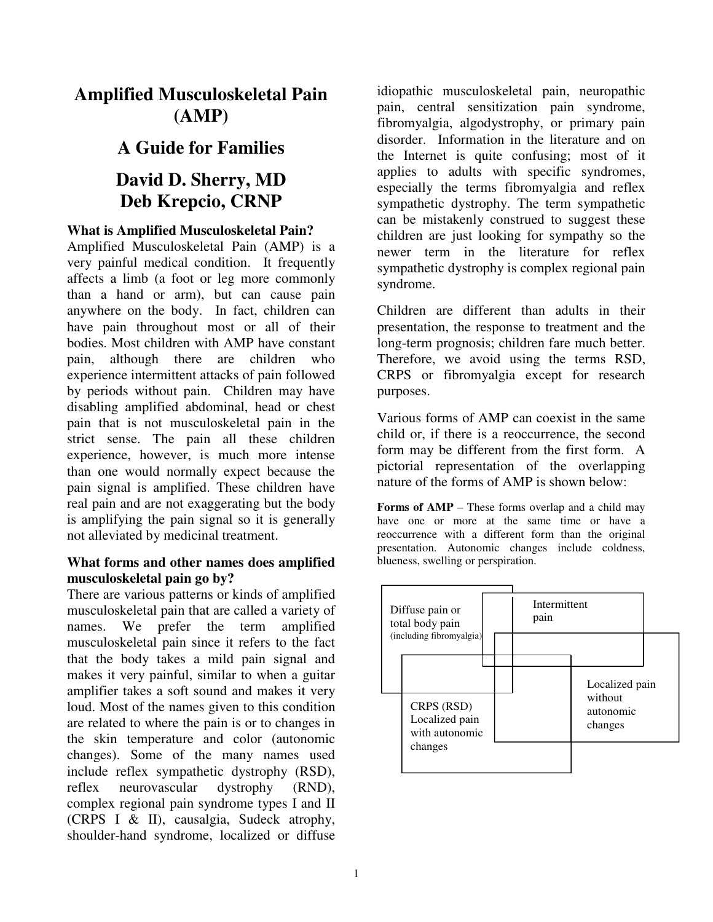# **Amplified Musculoskeletal Pain (AMP)**

# **A Guide for Families**

# **David D. Sherry, MD Deb Krepcio, CRNP**

# **What is Amplified Musculoskeletal Pain?**

Amplified Musculoskeletal Pain (AMP) is a very painful medical condition. It frequently affects a limb (a foot or leg more commonly than a hand or arm), but can cause pain anywhere on the body. In fact, children can have pain throughout most or all of their bodies. Most children with AMP have constant pain, although there are children who experience intermittent attacks of pain followed by periods without pain. Children may have disabling amplified abdominal, head or chest pain that is not musculoskeletal pain in the strict sense. The pain all these children experience, however, is much more intense than one would normally expect because the pain signal is amplified. These children have real pain and are not exaggerating but the body is amplifying the pain signal so it is generally not alleviated by medicinal treatment.

#### **What forms and other names does amplified musculoskeletal pain go by?**

There are various patterns or kinds of amplified musculoskeletal pain that are called a variety of names. We prefer the term amplified musculoskeletal pain since it refers to the fact that the body takes a mild pain signal and makes it very painful, similar to when a guitar amplifier takes a soft sound and makes it very loud. Most of the names given to this condition are related to where the pain is or to changes in the skin temperature and color (autonomic changes). Some of the many names used include reflex sympathetic dystrophy (RSD), reflex neurovascular dystrophy (RND), complex regional pain syndrome types I and II (CRPS I & II), causalgia, Sudeck atrophy, shoulder-hand syndrome, localized or diffuse

idiopathic musculoskeletal pain, neuropathic pain, central sensitization pain syndrome, fibromyalgia, algodystrophy, or primary pain disorder. Information in the literature and on the Internet is quite confusing; most of it applies to adults with specific syndromes, especially the terms fibromyalgia and reflex sympathetic dystrophy. The term sympathetic can be mistakenly construed to suggest these children are just looking for sympathy so the newer term in the literature for reflex sympathetic dystrophy is complex regional pain syndrome.

Children are different than adults in their presentation, the response to treatment and the long-term prognosis; children fare much better. Therefore, we avoid using the terms RSD, CRPS or fibromyalgia except for research purposes.

Various forms of AMP can coexist in the same child or, if there is a reoccurrence, the second form may be different from the first form. A pictorial representation of the overlapping nature of the forms of AMP is shown below:

**Forms of AMP** – These forms overlap and a child may have one or more at the same time or have a reoccurrence with a different form than the original presentation. Autonomic changes include coldness, blueness, swelling or perspiration.

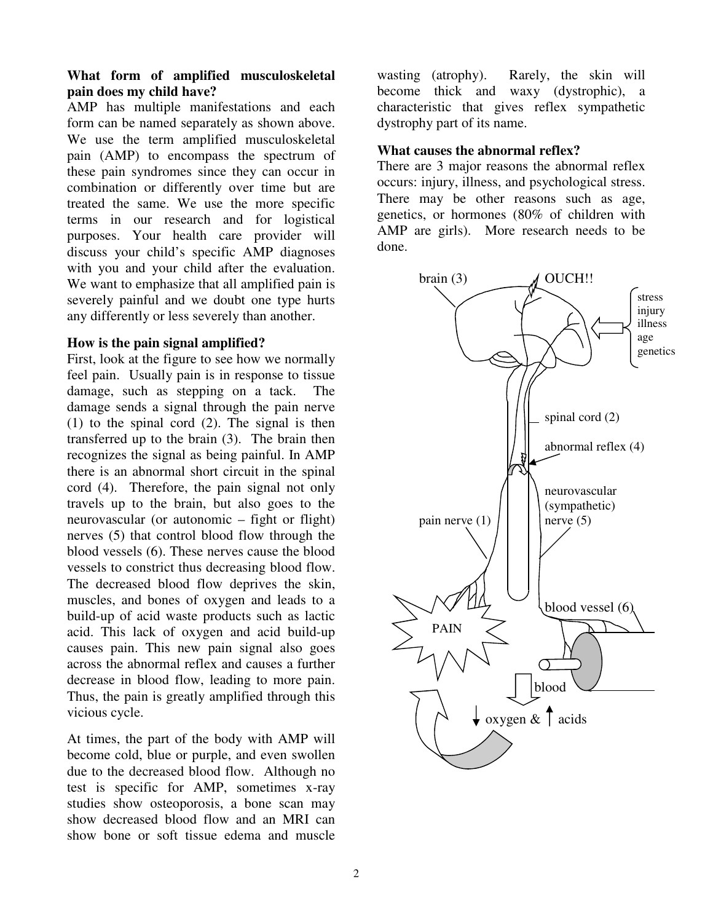# **What form of amplified musculoskeletal pain does my child have?**

AMP has multiple manifestations and each form can be named separately as shown above. We use the term amplified musculoskeletal pain (AMP) to encompass the spectrum of these pain syndromes since they can occur in combination or differently over time but are treated the same. We use the more specific terms in our research and for logistical purposes. Your health care provider will discuss your child's specific AMP diagnoses with you and your child after the evaluation. We want to emphasize that all amplified pain is severely painful and we doubt one type hurts any differently or less severely than another.

#### **How is the pain signal amplified?**

First, look at the figure to see how we normally feel pain. Usually pain is in response to tissue damage, such as stepping on a tack. The damage sends a signal through the pain nerve (1) to the spinal cord (2). The signal is then transferred up to the brain (3). The brain then recognizes the signal as being painful. In AMP there is an abnormal short circuit in the spinal cord (4). Therefore, the pain signal not only travels up to the brain, but also goes to the neurovascular (or autonomic – fight or flight) nerves (5) that control blood flow through the blood vessels (6). These nerves cause the blood vessels to constrict thus decreasing blood flow. The decreased blood flow deprives the skin, muscles, and bones of oxygen and leads to a build-up of acid waste products such as lactic acid. This lack of oxygen and acid build-up causes pain. This new pain signal also goes across the abnormal reflex and causes a further decrease in blood flow, leading to more pain. Thus, the pain is greatly amplified through this vicious cycle.

At times, the part of the body with AMP will become cold, blue or purple, and even swollen due to the decreased blood flow. Although no test is specific for AMP, sometimes x-ray studies show osteoporosis, a bone scan may show decreased blood flow and an MRI can show bone or soft tissue edema and muscle

wasting (atrophy). Rarely, the skin will become thick and waxy (dystrophic), a characteristic that gives reflex sympathetic dystrophy part of its name.

#### **What causes the abnormal reflex?**

There are 3 major reasons the abnormal reflex occurs: injury, illness, and psychological stress. There may be other reasons such as age, genetics, or hormones (80% of children with AMP are girls). More research needs to be done.

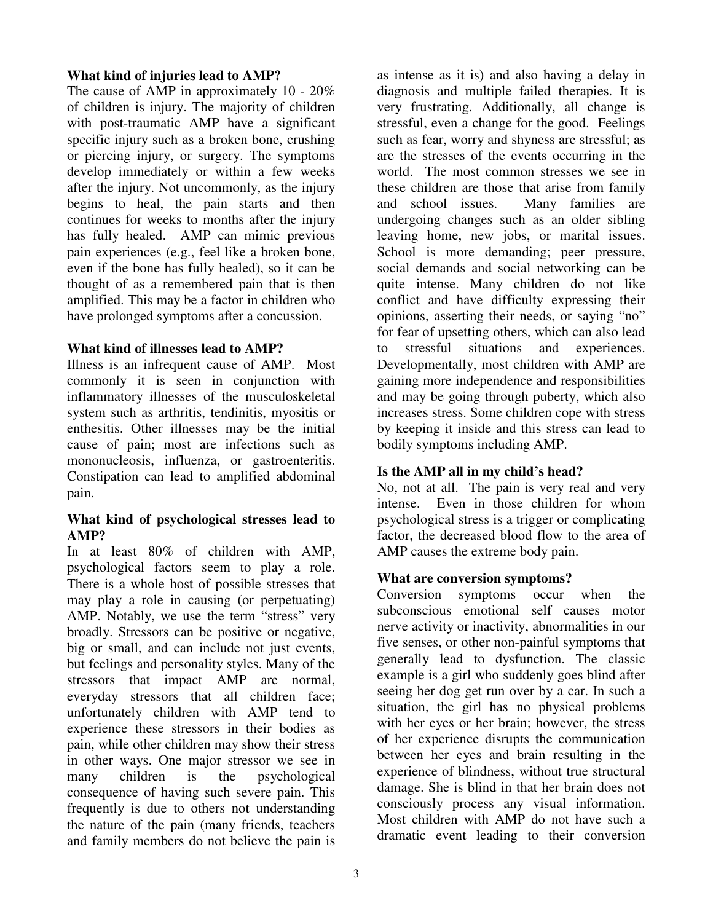#### **What kind of injuries lead to AMP?**

The cause of AMP in approximately 10 - 20% of children is injury. The majority of children with post-traumatic AMP have a significant specific injury such as a broken bone, crushing or piercing injury, or surgery. The symptoms develop immediately or within a few weeks after the injury. Not uncommonly, as the injury begins to heal, the pain starts and then continues for weeks to months after the injury has fully healed. AMP can mimic previous pain experiences (e.g., feel like a broken bone, even if the bone has fully healed), so it can be thought of as a remembered pain that is then amplified. This may be a factor in children who have prolonged symptoms after a concussion.

# **What kind of illnesses lead to AMP?**

Illness is an infrequent cause of AMP. Most commonly it is seen in conjunction with inflammatory illnesses of the musculoskeletal system such as arthritis, tendinitis, myositis or enthesitis. Other illnesses may be the initial cause of pain; most are infections such as mononucleosis, influenza, or gastroenteritis. Constipation can lead to amplified abdominal pain.

# **What kind of psychological stresses lead to AMP?**

In at least 80% of children with AMP, psychological factors seem to play a role. There is a whole host of possible stresses that may play a role in causing (or perpetuating) AMP. Notably, we use the term "stress" very broadly. Stressors can be positive or negative, big or small, and can include not just events, but feelings and personality styles. Many of the stressors that impact AMP are normal, everyday stressors that all children face; unfortunately children with AMP tend to experience these stressors in their bodies as pain, while other children may show their stress in other ways. One major stressor we see in many children is the psychological consequence of having such severe pain. This frequently is due to others not understanding the nature of the pain (many friends, teachers and family members do not believe the pain is

as intense as it is) and also having a delay in diagnosis and multiple failed therapies. It is very frustrating. Additionally, all change is stressful, even a change for the good. Feelings such as fear, worry and shyness are stressful; as are the stresses of the events occurring in the world. The most common stresses we see in these children are those that arise from family and school issues. Many families are undergoing changes such as an older sibling leaving home, new jobs, or marital issues. School is more demanding; peer pressure, social demands and social networking can be quite intense. Many children do not like conflict and have difficulty expressing their opinions, asserting their needs, or saying "no" for fear of upsetting others, which can also lead to stressful situations and experiences. Developmentally, most children with AMP are gaining more independence and responsibilities and may be going through puberty, which also increases stress. Some children cope with stress by keeping it inside and this stress can lead to bodily symptoms including AMP.

# **Is the AMP all in my child's head?**

No, not at all. The pain is very real and very intense. Even in those children for whom psychological stress is a trigger or complicating factor, the decreased blood flow to the area of AMP causes the extreme body pain.

# **What are conversion symptoms?**

Conversion symptoms occur when the subconscious emotional self causes motor nerve activity or inactivity, abnormalities in our five senses, or other non-painful symptoms that generally lead to dysfunction. The classic example is a girl who suddenly goes blind after seeing her dog get run over by a car. In such a situation, the girl has no physical problems with her eyes or her brain; however, the stress of her experience disrupts the communication between her eyes and brain resulting in the experience of blindness, without true structural damage. She is blind in that her brain does not consciously process any visual information. Most children with AMP do not have such a dramatic event leading to their conversion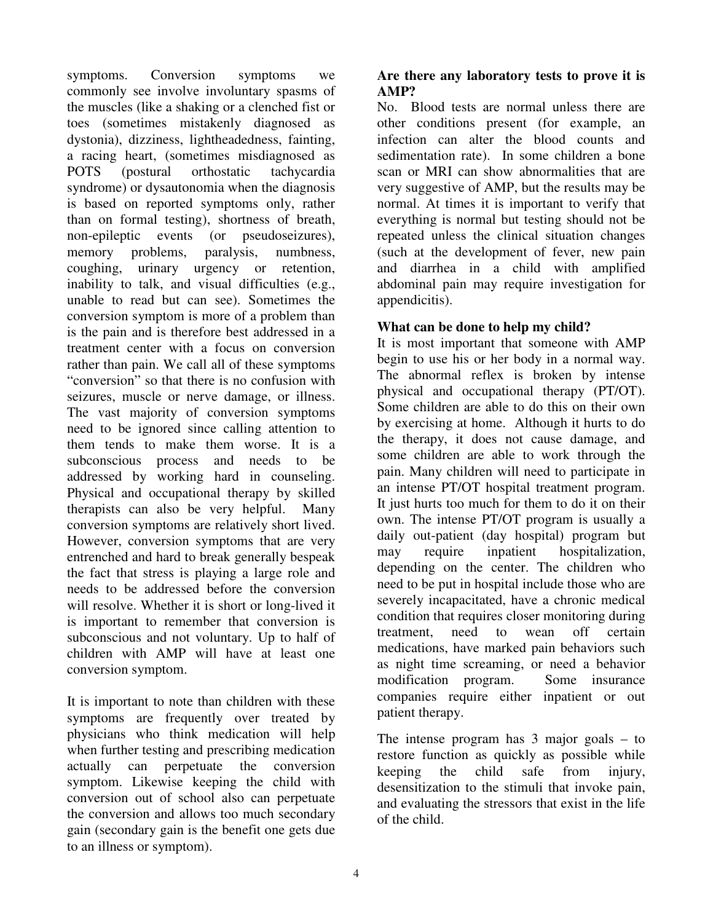symptoms. Conversion symptoms we commonly see involve involuntary spasms of the muscles (like a shaking or a clenched fist or toes (sometimes mistakenly diagnosed as dystonia), dizziness, lightheadedness, fainting, a racing heart, (sometimes misdiagnosed as POTS (postural orthostatic tachycardia syndrome) or dysautonomia when the diagnosis is based on reported symptoms only, rather than on formal testing), shortness of breath, non-epileptic events (or pseudoseizures), memory problems, paralysis, numbness, coughing, urinary urgency or retention, inability to talk, and visual difficulties (e.g., unable to read but can see). Sometimes the conversion symptom is more of a problem than is the pain and is therefore best addressed in a treatment center with a focus on conversion rather than pain. We call all of these symptoms "conversion" so that there is no confusion with seizures, muscle or nerve damage, or illness. The vast majority of conversion symptoms need to be ignored since calling attention to them tends to make them worse. It is a subconscious process and needs to be addressed by working hard in counseling. Physical and occupational therapy by skilled therapists can also be very helpful. Many conversion symptoms are relatively short lived. However, conversion symptoms that are very entrenched and hard to break generally bespeak the fact that stress is playing a large role and needs to be addressed before the conversion will resolve. Whether it is short or long-lived it is important to remember that conversion is subconscious and not voluntary. Up to half of children with AMP will have at least one conversion symptom.

It is important to note than children with these symptoms are frequently over treated by physicians who think medication will help when further testing and prescribing medication actually can perpetuate the conversion symptom. Likewise keeping the child with conversion out of school also can perpetuate the conversion and allows too much secondary gain (secondary gain is the benefit one gets due to an illness or symptom).

# **Are there any laboratory tests to prove it is AMP?**

No. Blood tests are normal unless there are other conditions present (for example, an infection can alter the blood counts and sedimentation rate). In some children a bone scan or MRI can show abnormalities that are very suggestive of AMP, but the results may be normal. At times it is important to verify that everything is normal but testing should not be repeated unless the clinical situation changes (such at the development of fever, new pain and diarrhea in a child with amplified abdominal pain may require investigation for appendicitis).

# **What can be done to help my child?**

It is most important that someone with AMP begin to use his or her body in a normal way. The abnormal reflex is broken by intense physical and occupational therapy (PT/OT). Some children are able to do this on their own by exercising at home. Although it hurts to do the therapy, it does not cause damage, and some children are able to work through the pain. Many children will need to participate in an intense PT/OT hospital treatment program. It just hurts too much for them to do it on their own. The intense PT/OT program is usually a daily out-patient (day hospital) program but may require inpatient hospitalization, depending on the center. The children who need to be put in hospital include those who are severely incapacitated, have a chronic medical condition that requires closer monitoring during treatment, need to wean off certain medications, have marked pain behaviors such as night time screaming, or need a behavior modification program. Some insurance companies require either inpatient or out patient therapy.

The intense program has 3 major goals – to restore function as quickly as possible while keeping the child safe from injury, desensitization to the stimuli that invoke pain, and evaluating the stressors that exist in the life of the child.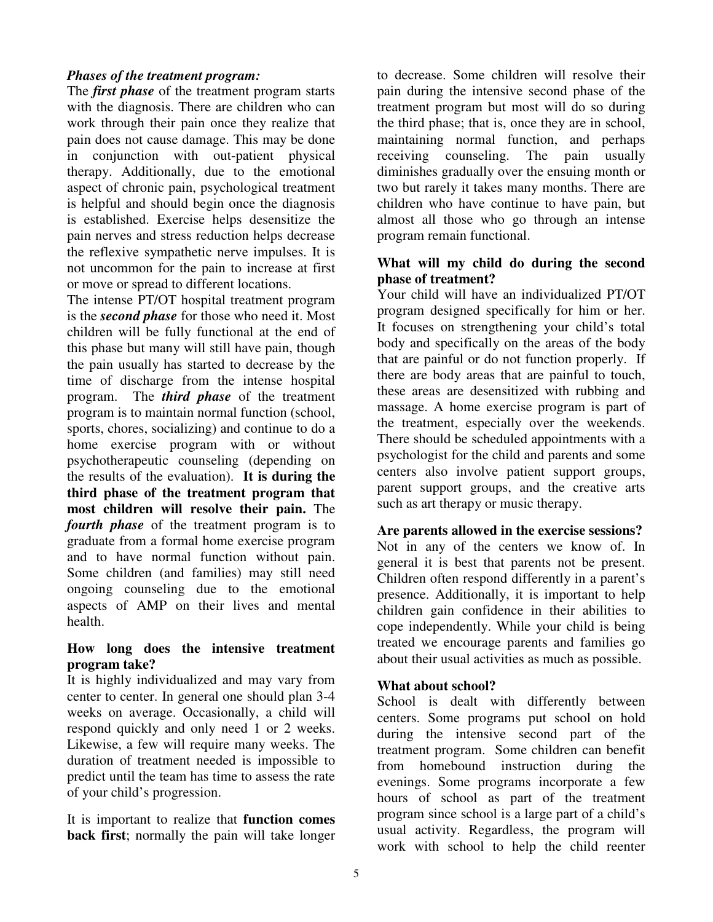# *Phases of the treatment program:*

The *first phase* of the treatment program starts with the diagnosis. There are children who can work through their pain once they realize that pain does not cause damage. This may be done in conjunction with out-patient physical therapy. Additionally, due to the emotional aspect of chronic pain, psychological treatment is helpful and should begin once the diagnosis is established. Exercise helps desensitize the pain nerves and stress reduction helps decrease the reflexive sympathetic nerve impulses. It is not uncommon for the pain to increase at first or move or spread to different locations.

The intense PT/OT hospital treatment program is the *second phase* for those who need it. Most children will be fully functional at the end of this phase but many will still have pain, though the pain usually has started to decrease by the time of discharge from the intense hospital program. The *third phase* of the treatment program is to maintain normal function (school, sports, chores, socializing) and continue to do a home exercise program with or without psychotherapeutic counseling (depending on the results of the evaluation). **It is during the third phase of the treatment program that most children will resolve their pain.** The *fourth phase* of the treatment program is to graduate from a formal home exercise program and to have normal function without pain. Some children (and families) may still need ongoing counseling due to the emotional aspects of AMP on their lives and mental health.

# **How long does the intensive treatment program take?**

It is highly individualized and may vary from center to center. In general one should plan 3-4 weeks on average. Occasionally, a child will respond quickly and only need 1 or 2 weeks. Likewise, a few will require many weeks. The duration of treatment needed is impossible to predict until the team has time to assess the rate of your child's progression.

It is important to realize that **function comes back first**; normally the pain will take longer

to decrease. Some children will resolve their pain during the intensive second phase of the treatment program but most will do so during the third phase; that is, once they are in school, maintaining normal function, and perhaps receiving counseling. The pain usually diminishes gradually over the ensuing month or two but rarely it takes many months. There are children who have continue to have pain, but almost all those who go through an intense program remain functional.

# **What will my child do during the second phase of treatment?**

Your child will have an individualized PT/OT program designed specifically for him or her. It focuses on strengthening your child's total body and specifically on the areas of the body that are painful or do not function properly. If there are body areas that are painful to touch, these areas are desensitized with rubbing and massage. A home exercise program is part of the treatment, especially over the weekends. There should be scheduled appointments with a psychologist for the child and parents and some centers also involve patient support groups, parent support groups, and the creative arts such as art therapy or music therapy.

#### **Are parents allowed in the exercise sessions?**

Not in any of the centers we know of. In general it is best that parents not be present. Children often respond differently in a parent's presence. Additionally, it is important to help children gain confidence in their abilities to cope independently. While your child is being treated we encourage parents and families go about their usual activities as much as possible.

#### **What about school?**

School is dealt with differently between centers. Some programs put school on hold during the intensive second part of the treatment program. Some children can benefit from homebound instruction during the evenings. Some programs incorporate a few hours of school as part of the treatment program since school is a large part of a child's usual activity. Regardless, the program will work with school to help the child reenter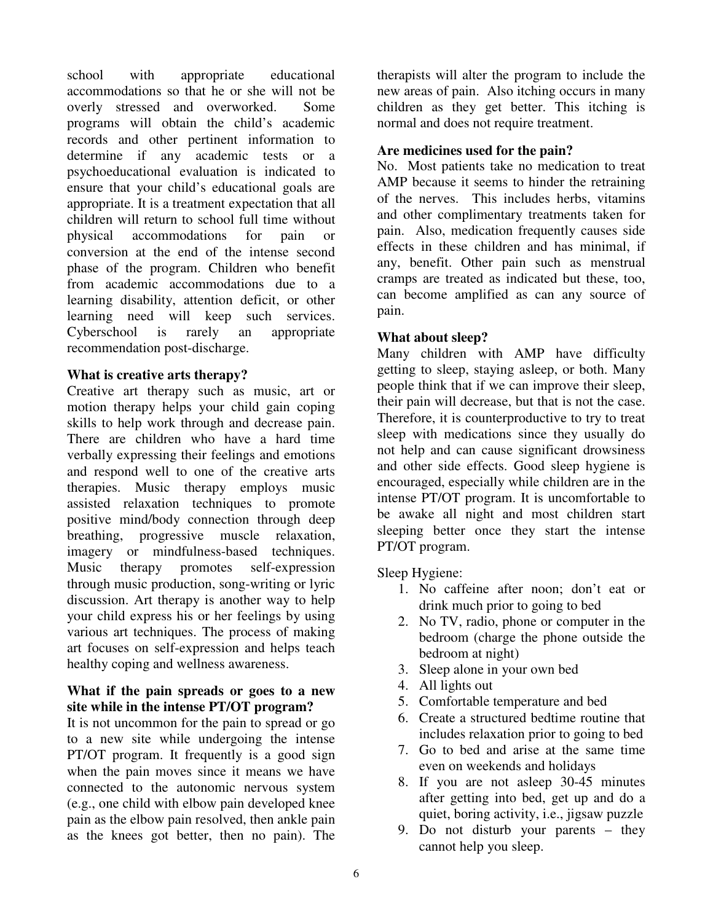school with appropriate educational accommodations so that he or she will not be overly stressed and overworked. Some programs will obtain the child's academic records and other pertinent information to determine if any academic tests or a psychoeducational evaluation is indicated to ensure that your child's educational goals are appropriate. It is a treatment expectation that all children will return to school full time without physical accommodations for pain or conversion at the end of the intense second phase of the program. Children who benefit from academic accommodations due to a learning disability, attention deficit, or other learning need will keep such services. Cyberschool is rarely an appropriate recommendation post-discharge.

# **What is creative arts therapy?**

Creative art therapy such as music, art or motion therapy helps your child gain coping skills to help work through and decrease pain. There are children who have a hard time verbally expressing their feelings and emotions and respond well to one of the creative arts therapies. Music therapy employs music assisted relaxation techniques to promote positive mind/body connection through deep breathing, progressive muscle relaxation, imagery or mindfulness-based techniques. Music therapy promotes self-expression through music production, song-writing or lyric discussion. Art therapy is another way to help your child express his or her feelings by using various art techniques. The process of making art focuses on self-expression and helps teach healthy coping and wellness awareness.

# **What if the pain spreads or goes to a new site while in the intense PT/OT program?**

It is not uncommon for the pain to spread or go to a new site while undergoing the intense PT/OT program. It frequently is a good sign when the pain moves since it means we have connected to the autonomic nervous system (e.g., one child with elbow pain developed knee pain as the elbow pain resolved, then ankle pain as the knees got better, then no pain). The

therapists will alter the program to include the new areas of pain. Also itching occurs in many children as they get better. This itching is normal and does not require treatment.

# **Are medicines used for the pain?**

No. Most patients take no medication to treat AMP because it seems to hinder the retraining of the nerves. This includes herbs, vitamins and other complimentary treatments taken for pain. Also, medication frequently causes side effects in these children and has minimal, if any, benefit. Other pain such as menstrual cramps are treated as indicated but these, too, can become amplified as can any source of pain.

# **What about sleep?**

Many children with AMP have difficulty getting to sleep, staying asleep, or both. Many people think that if we can improve their sleep, their pain will decrease, but that is not the case. Therefore, it is counterproductive to try to treat sleep with medications since they usually do not help and can cause significant drowsiness and other side effects. Good sleep hygiene is encouraged, especially while children are in the intense PT/OT program. It is uncomfortable to be awake all night and most children start sleeping better once they start the intense PT/OT program.

Sleep Hygiene:

- 1. No caffeine after noon; don't eat or drink much prior to going to bed
- 2. No TV, radio, phone or computer in the bedroom (charge the phone outside the bedroom at night)
- 3. Sleep alone in your own bed
- 4. All lights out
- 5. Comfortable temperature and bed
- 6. Create a structured bedtime routine that includes relaxation prior to going to bed
- 7. Go to bed and arise at the same time even on weekends and holidays
- 8. If you are not asleep 30-45 minutes after getting into bed, get up and do a quiet, boring activity, i.e., jigsaw puzzle
- 9. Do not disturb your parents they cannot help you sleep.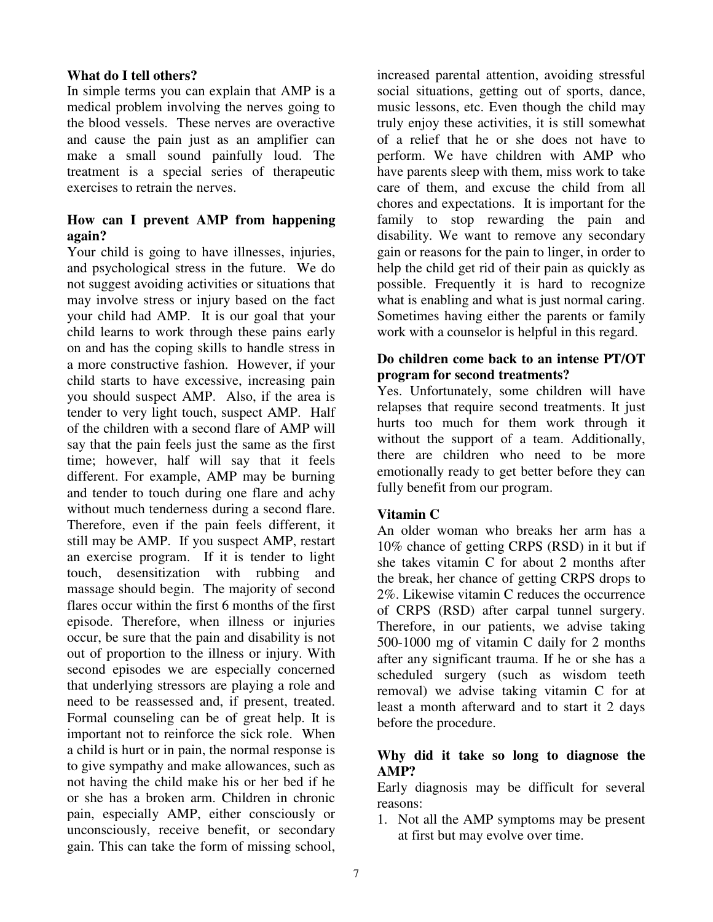### **What do I tell others?**

In simple terms you can explain that AMP is a medical problem involving the nerves going to the blood vessels. These nerves are overactive and cause the pain just as an amplifier can make a small sound painfully loud. The treatment is a special series of therapeutic exercises to retrain the nerves.

# **How can I prevent AMP from happening again?**

Your child is going to have illnesses, injuries, and psychological stress in the future. We do not suggest avoiding activities or situations that may involve stress or injury based on the fact your child had AMP. It is our goal that your child learns to work through these pains early on and has the coping skills to handle stress in a more constructive fashion. However, if your child starts to have excessive, increasing pain you should suspect AMP. Also, if the area is tender to very light touch, suspect AMP. Half of the children with a second flare of AMP will say that the pain feels just the same as the first time; however, half will say that it feels different. For example, AMP may be burning and tender to touch during one flare and achy without much tenderness during a second flare. Therefore, even if the pain feels different, it still may be AMP. If you suspect AMP, restart an exercise program. If it is tender to light touch, desensitization with rubbing and massage should begin. The majority of second flares occur within the first 6 months of the first episode. Therefore, when illness or injuries occur, be sure that the pain and disability is not out of proportion to the illness or injury. With second episodes we are especially concerned that underlying stressors are playing a role and need to be reassessed and, if present, treated. Formal counseling can be of great help. It is important not to reinforce the sick role. When a child is hurt or in pain, the normal response is to give sympathy and make allowances, such as not having the child make his or her bed if he or she has a broken arm. Children in chronic pain, especially AMP, either consciously or unconsciously, receive benefit, or secondary gain. This can take the form of missing school,

increased parental attention, avoiding stressful social situations, getting out of sports, dance, music lessons, etc. Even though the child may truly enjoy these activities, it is still somewhat of a relief that he or she does not have to perform. We have children with AMP who have parents sleep with them, miss work to take care of them, and excuse the child from all chores and expectations. It is important for the family to stop rewarding the pain and disability. We want to remove any secondary gain or reasons for the pain to linger, in order to help the child get rid of their pain as quickly as possible. Frequently it is hard to recognize what is enabling and what is just normal caring. Sometimes having either the parents or family work with a counselor is helpful in this regard.

# **Do children come back to an intense PT/OT program for second treatments?**

Yes. Unfortunately, some children will have relapses that require second treatments. It just hurts too much for them work through it without the support of a team. Additionally, there are children who need to be more emotionally ready to get better before they can fully benefit from our program.

# **Vitamin C**

An older woman who breaks her arm has a 10% chance of getting CRPS (RSD) in it but if she takes vitamin C for about 2 months after the break, her chance of getting CRPS drops to 2%. Likewise vitamin C reduces the occurrence of CRPS (RSD) after carpal tunnel surgery. Therefore, in our patients, we advise taking 500-1000 mg of vitamin C daily for 2 months after any significant trauma. If he or she has a scheduled surgery (such as wisdom teeth removal) we advise taking vitamin C for at least a month afterward and to start it 2 days before the procedure.

# **Why did it take so long to diagnose the AMP?**

Early diagnosis may be difficult for several reasons:

1. Not all the AMP symptoms may be present at first but may evolve over time.